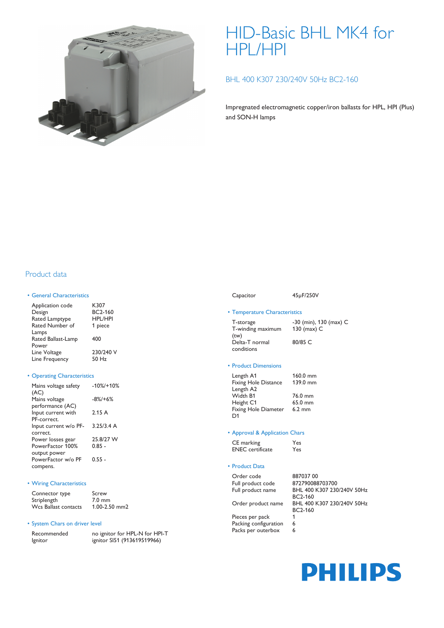

# HID-Basic BHL MK4 for HPL/HPI

## BHL 400 K307 230/240V 50Hz BC2-160

Impregnated electromagnetic copper/iron ballasts for HPL, HPI (Plus) and SON-H lamps

### Product data

### • General Characteristics

| Application code                     | K307           |
|--------------------------------------|----------------|
| Design                               | BC2-160        |
| Rated Lamptype                       | <b>HPL/HPI</b> |
| Rated Number of                      | 1 piece        |
| Lamps<br>Rated Ballast-Lamp<br>Power | 400            |
| Line Voltage                         | 230/240 V      |
| Line Frequency                       | 50 Hz          |

### • Operating Characteristics

| Mains voltage safety  | $-10\%$ /+10% |
|-----------------------|---------------|
| (AC)                  |               |
| Mains voltage         | $-8\%/+6\%$   |
| performance (AC)      |               |
| Input current with    | 2.15A         |
| PF-correct.           |               |
| Input current w/o PF- | 3.25/3.4 A    |
| correct.              |               |
| Power losses gear     | 25.8/27 W     |
| PowerFactor 100%      | $0.85 -$      |
| output power          |               |
| PowerFactor w/o PF    | $0.55 -$      |
| compens.              |               |
|                       |               |

#### • Wiring Characteristics

| Connector type       | Screw            |
|----------------------|------------------|
| Striplength          | $7.0 \text{ mm}$ |
| Wcs Ballast contacts | 1.00-2.50 mm2    |

### • System Chars on driver level

| Recommended |
|-------------|
| Ignitor     |

no ignitor for HPL-N for HPI-T ignitor SI51 (913619519966)

### Capacitor 45µF/250V

# • Temperature Characteristics

T-storage -30 (min), 130 (max) C T-winding maximum (tw) 130 (max) C Delta-T normal conditions 80/85 C

### • Product Dimensions

| Length A1                   | $160.0$ mm       |
|-----------------------------|------------------|
| <b>Fixing Hole Distance</b> | 139.0 mm         |
| Length A2                   |                  |
| Width B1                    | 76.0 mm          |
| Height C1                   | 65.0 mm          |
| <b>Fixing Hole Diameter</b> | $6.2 \text{ mm}$ |
| D <sub>1</sub>              |                  |

#### • Approval & Application Chars

| CE marking              | Yes |
|-------------------------|-----|
| <b>ENEC</b> certificate | Yes |

### • Product Data

Order code 887037 00

Full product code 872790088703700 BHL 400 K307 230/240V 50Hz BC2-160 Order product name BHL 400 K307 230/240V 50Hz BC2-160

Pieces per pack 1 Packing configuration 6 Packs per outerbox 6